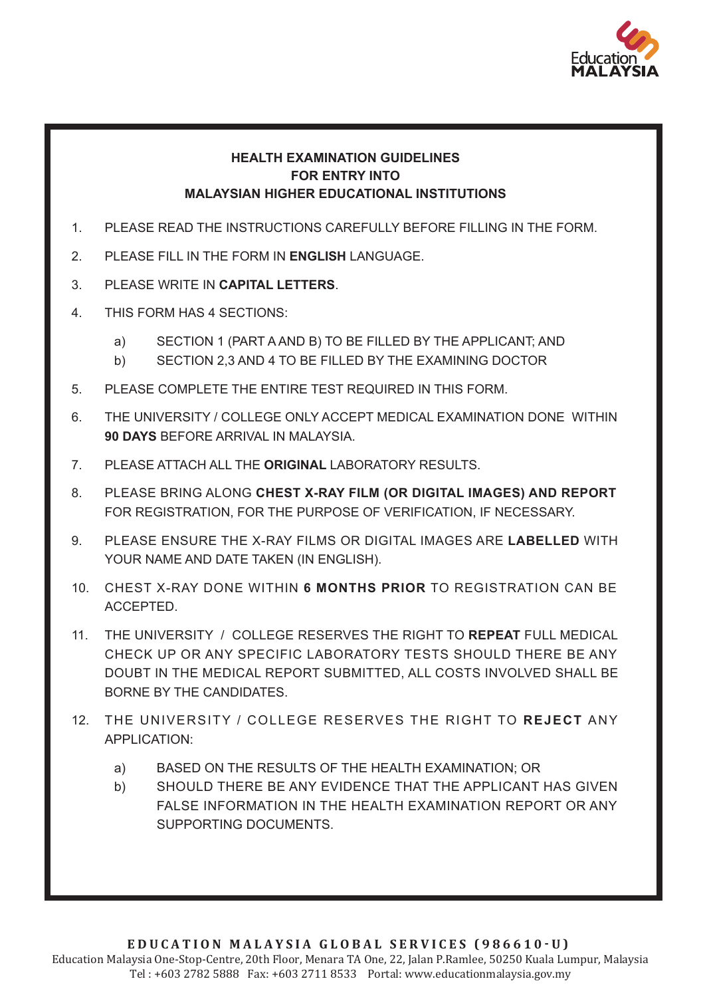

### **HEALTH EXAMINATION GUIDELINES FOR ENTRY INTO MALAYSIAN HIGHER EDUCATIONAL INSTITUTIONS**

- 1. PLEASE READ THE INSTRUCTIONS CAREFULLY BEFORE FILLING IN THE FORM.
- 2. PLEASE FILL IN THE FORM IN **ENGLISH** LANGUAGE.
- 3. PLEASE WRITE IN **CAPITAL LETTERS**.
- 4. THIS FORM HAS 4 SECTIONS:
	- a) SECTION 1 (PART A AND B) TO BE FILLED BY THE APPLICANT; AND
	- b) SECTION 2,3 AND 4 TO BE FILLED BY THE EXAMINING DOCTOR
- 5. PLEASE COMPLETE THE ENTIRE TEST REQUIRED IN THIS FORM.
- 6. THE UNIVERSITY / COLLEGE ONLY ACCEPT MEDICAL EXAMINATION DONE WITHIN **90 DAYS** BEFORE ARRIVAL IN MALAYSIA.
- 7. PLEASE ATTACH ALL THE **ORIGINAL** LABORATORY RESULTS.
- 8. PLEASE BRING ALONG **CHEST X-RAY FILM (OR DIGITAL IMAGES) AND REPORT**  FOR REGISTRATION, FOR THE PURPOSE OF VERIFICATION, IF NECESSARY.
- 9. PLEASE ENSURE THE X-RAY FILMS OR DIGITAL IMAGES ARE **LABELLED** WITH YOUR NAME AND DATE TAKEN (IN ENGLISH).
- 10. CHEST X-RAY DONE WITHIN **6 MONTHS PRIOR** TO REGISTRATION CAN BE ACCEPTED.
- 11. THE UNIVERSITY / COLLEGE RESERVES THE RIGHT TO **REPEAT** FULL MEDICAL CHECK UP OR ANY SPECIFIC LABORATORY TESTS SHOULD THERE BE ANY DOUBT IN THE MEDICAL REPORT SUBMITTED, ALL COSTS INVOLVED SHALL BE BORNE BY THE CANDIDATES.
- 12. THE UNIVERSITY / COLLEGE RESERVES THE RIGHT TO **REJECT** ANY APPLICATION:
	- a) BASED ON THE RESULTS OF THE HEALTH EXAMINATION; OR
	- b) SHOULD THERE BE ANY EVIDENCE THAT THE APPLICANT HAS GIVEN FALSE INFORMATION IN THE HEALTH EXAMINATION REPORT OR ANY SUPPORTING DOCUMENTS.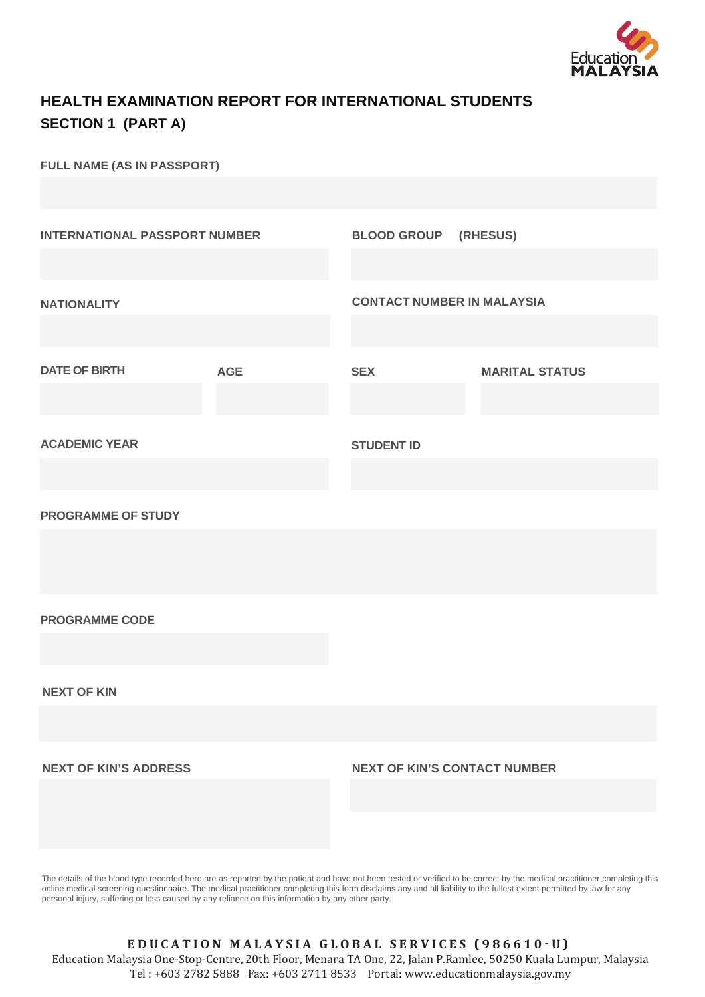

### **HEALTH EXAMINATION REPORT FOR INTERNATIONAL STUDENTS SECTION 1 (PART A)**

**FULL NAME (AS IN PASSPORT)**

| <b>INTERNATIONAL PASSPORT NUMBER</b> |            | <b>BLOOD GROUP (RHESUS)</b>         |                       |
|--------------------------------------|------------|-------------------------------------|-----------------------|
| <b>NATIONALITY</b>                   |            | <b>CONTACT NUMBER IN MALAYSIA</b>   |                       |
| <b>DATE OF BIRTH</b>                 | <b>AGE</b> | <b>SEX</b>                          | <b>MARITAL STATUS</b> |
| <b>ACADEMIC YEAR</b>                 |            | <b>STUDENT ID</b>                   |                       |
| <b>PROGRAMME OF STUDY</b>            |            |                                     |                       |
|                                      |            |                                     |                       |
| <b>PROGRAMME CODE</b>                |            |                                     |                       |
| <b>NEXT OF KIN</b>                   |            |                                     |                       |
| <b>NEXT OF KIN'S ADDRESS</b>         |            | <b>NEXT OF KIN'S CONTACT NUMBER</b> |                       |
|                                      |            |                                     |                       |

The details of the blood type recorded here are as reported by the patient and have not been tested or verified to be correct by the medical practitioner completing this online medical screening questionnaire. The medical practitioner completing this form disclaims any and all liability to the fullest extent permitted by law for any personal injury, suffering or loss caused by any reliance on this information by any other party.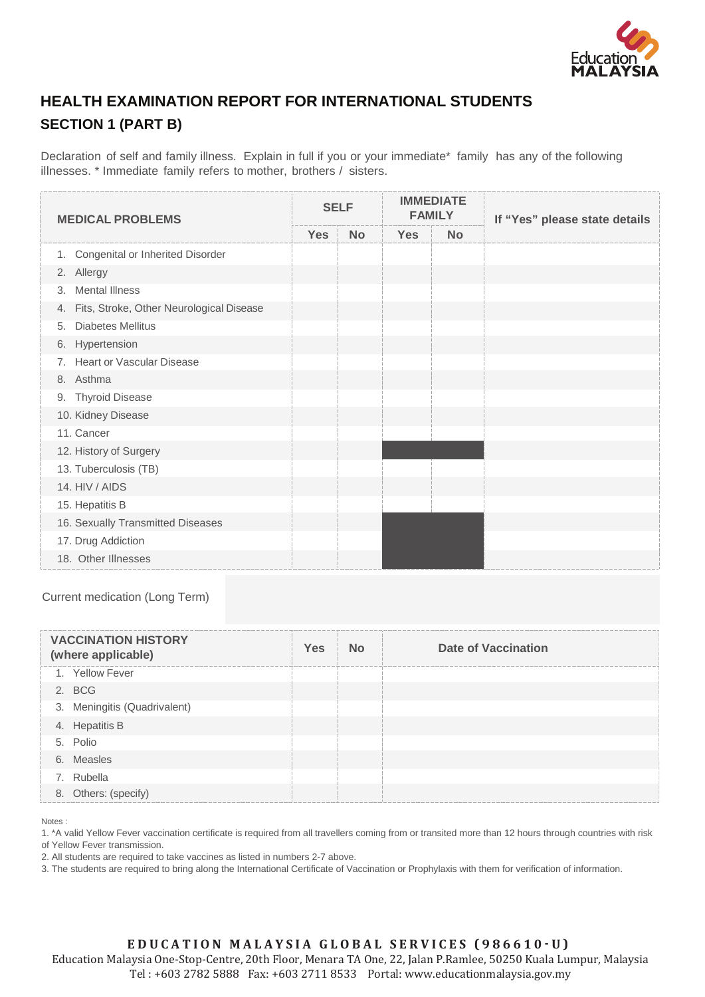

## **HEALTH EXAMINATION REPORT FOR INTERNATIONAL STUDENTS SECTION 1 (PART B)**

Declaration of self and family illness. Explain in full if you or your immediate\* family has any of the following illnesses. \* Immediate family refers to mother, brothers / sisters.

| <b>MEDICAL PROBLEMS</b>                        | <b>SELF</b> |           | <b>IMMEDIATE</b><br><b>FAMILY</b> |           | If "Yes" please state details |
|------------------------------------------------|-------------|-----------|-----------------------------------|-----------|-------------------------------|
|                                                | <b>Yes</b>  | <b>No</b> | <b>Yes</b>                        | <b>No</b> |                               |
| Congenital or Inherited Disorder<br>1.         |             |           |                                   |           |                               |
| 2. Allergy                                     |             |           |                                   |           |                               |
| <b>Mental Illness</b><br>3.                    |             |           |                                   |           |                               |
| Fits, Stroke, Other Neurological Disease<br>4. |             |           |                                   |           |                               |
| <b>Diabetes Mellitus</b><br>5.                 |             |           |                                   |           |                               |
| 6. Hypertension                                |             |           |                                   |           |                               |
| Heart or Vascular Disease<br>7.                |             |           |                                   |           |                               |
| 8. Asthma                                      |             |           |                                   |           |                               |
| <b>Thyroid Disease</b><br>9.                   |             |           |                                   |           |                               |
| 10. Kidney Disease                             |             |           |                                   |           |                               |
| 11. Cancer                                     |             |           |                                   |           |                               |
| 12. History of Surgery                         |             |           |                                   |           |                               |
| 13. Tuberculosis (TB)                          |             |           |                                   |           |                               |
| 14. HIV / AIDS                                 |             |           |                                   |           |                               |
| 15. Hepatitis B                                |             |           |                                   |           |                               |
| 16. Sexually Transmitted Diseases              |             |           |                                   |           |                               |
| 17. Drug Addiction                             |             |           |                                   |           |                               |
| 18. Other Illnesses                            |             |           |                                   |           |                               |

Current medication (Long Term)

| <b>VACCINATION HISTORY</b><br>(where applicable) | Yes | No | <b>Date of Vaccination</b> |
|--------------------------------------------------|-----|----|----------------------------|
| 1. Yellow Fever                                  |     |    |                            |
| 2. BCG                                           |     |    |                            |
| 3. Meningitis (Quadrivalent)                     |     |    |                            |
| 4. Hepatitis B                                   |     |    |                            |
| 5. Polio                                         |     |    |                            |
| 6. Measles                                       |     |    |                            |
| 7. Rubella                                       |     |    |                            |
| 8. Others: (specify)                             |     |    |                            |

Notes :

1. \*A valid Yellow Fever vaccination certificate is required from all travellers coming from or transited more than 12 hours through countries with risk of Yellow Fever transmission.

2. All students are required to take vaccines as listed in numbers 2-7 above.

3. The students are required to bring along the International Certificate of Vaccination or Prophylaxis with them for verification of information.

### EDUCATION MALAYSIA GLOBAL SERVICES (986610 · U)

Education Malaysia One-Stop-Centre, 20th Floor, Menara TA One, 22, Jalan P.Ramlee, 50250 Kuala Lumpur, Malaysia Tel : +603 2782 5888 Fax: +603 2711 8533 Portal: www.educationmalaysia.gov.my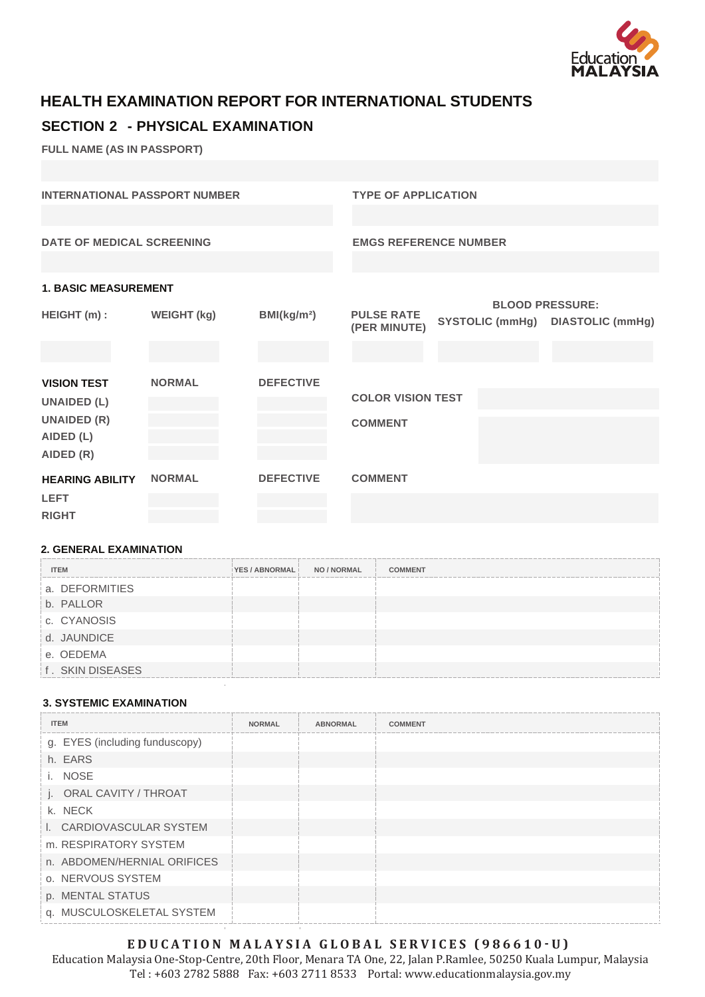

# **HEALTH EXAMINATION REPORT FOR INTERNATIONAL STUDENTS**

### **SECTION 2 - PHYSICAL EXAMINATION**

**FULL NAME (AS IN PASSPORT)**

| <b>INTERNATIONAL PASSPORT NUMBER</b> |                    |                         | <b>TYPE OF APPLICATION</b>   |                        |                         |  |  |
|--------------------------------------|--------------------|-------------------------|------------------------------|------------------------|-------------------------|--|--|
|                                      |                    |                         |                              |                        |                         |  |  |
| <b>DATE OF MEDICAL SCREENING</b>     |                    |                         | <b>EMGS REFERENCE NUMBER</b> |                        |                         |  |  |
|                                      |                    |                         |                              |                        |                         |  |  |
| <b>1. BASIC MEASUREMENT</b>          |                    |                         |                              |                        |                         |  |  |
|                                      |                    |                         |                              |                        | <b>BLOOD PRESSURE:</b>  |  |  |
| HEIGHT (m) :                         | <b>WEIGHT (kg)</b> | BMl(kg/m <sup>2</sup> ) | <b>PULSE RATE</b>            |                        |                         |  |  |
|                                      |                    |                         | (PER MINUTE)                 | <b>SYSTOLIC (mmHg)</b> | <b>DIASTOLIC (mmHg)</b> |  |  |
|                                      |                    |                         |                              |                        |                         |  |  |
| <b>VISION TEST</b>                   | <b>NORMAL</b>      | <b>DEFECTIVE</b>        |                              |                        |                         |  |  |
|                                      |                    |                         |                              |                        |                         |  |  |
| <b>UNAIDED (L)</b>                   |                    |                         | <b>COLOR VISION TEST</b>     |                        |                         |  |  |
| <b>UNAIDED (R)</b>                   |                    |                         | <b>COMMENT</b>               |                        |                         |  |  |
| AIDED (L)                            |                    |                         |                              |                        |                         |  |  |
|                                      |                    |                         |                              |                        |                         |  |  |
| AIDED (R)                            |                    |                         |                              |                        |                         |  |  |
| <b>HEARING ABILITY</b>               | <b>NORMAL</b>      | <b>DEFECTIVE</b>        | <b>COMMENT</b>               |                        |                         |  |  |
| <b>LEFT</b>                          |                    |                         |                              |                        |                         |  |  |
| <b>RIGHT</b>                         |                    |                         |                              |                        |                         |  |  |
|                                      |                    |                         |                              |                        |                         |  |  |

### **2. GENERAL EXAMINATION**

| <b>ITEM</b>      | YES / ABNORMAL | NO / NORMAL | <b>COMMENT</b> |
|------------------|----------------|-------------|----------------|
| a. DEFORMITIES   |                |             |                |
| b. PALLOR        |                |             |                |
| c. CYANOSIS      |                |             |                |
| d. JAUNDICE      |                |             |                |
| e. OEDEMA        |                |             |                |
| f. SKIN DISEASES |                |             |                |

### **3. SYSTEMIC EXAMINATION**

| <b>ITEM</b>                    | <b>NORMAL</b> | <b>ABNORMAL</b> | <b>COMMENT</b> |
|--------------------------------|---------------|-----------------|----------------|
| g. EYES (including funduscopy) |               |                 |                |
| h. EARS                        |               |                 |                |
| <b>NOSE</b><br>i.              |               |                 |                |
| j. ORAL CAVITY / THROAT        |               |                 |                |
| k. NECK                        |               |                 |                |
| I. CARDIOVASCULAR SYSTEM       |               |                 |                |
| m. RESPIRATORY SYSTEM          |               |                 |                |
| n. ABDOMEN/HERNIAL ORIFICES    |               |                 |                |
| o. NERVOUS SYSTEM              |               |                 |                |
| p. MENTAL STATUS               |               |                 |                |
| q. MUSCULOSKELETAL SYSTEM      |               |                 |                |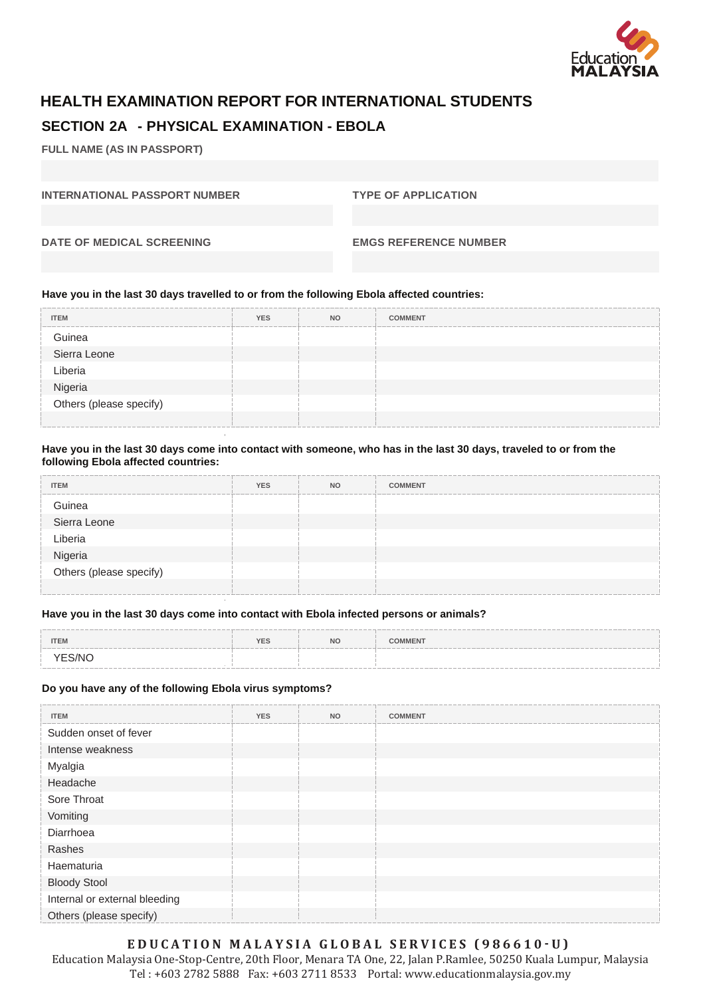

## **HEALTH EXAMINATION REPORT FOR INTERNATIONAL STUDENTS SECTION 2A - PHYSICAL EXAMINATION - EBOLA**

**FULL NAME (AS IN PASSPORT)**

**INTERNATIONAL PASSPORT NUMBER TYPE OF APPLICATION** 

**DATE OF MEDICAL SCREENING EMGS REFERENCE NUMBER**

#### **Have you in the last 30 days travelled to or from the following Ebola affected countries:**

| <b>ITEM</b>                        | <b>YES</b> | <b>NO</b> | <b>COMMENT</b> |
|------------------------------------|------------|-----------|----------------|
| Guinea                             |            |           |                |
| Sierra Leone                       |            |           |                |
| Liberia                            |            |           |                |
|                                    |            |           |                |
| Nigeria<br>Others (please specify) |            |           |                |
|                                    |            |           |                |

#### **Have you in the last 30 days come into contact with someone, who has in the last 30 days, traveled to or from the following Ebola affected countries:**

| <b>ITEM</b>                        | <b>YES</b> | <b>NO</b> | <b>COMMENT</b> |
|------------------------------------|------------|-----------|----------------|
| Guinea                             |            |           |                |
| Sierra Leone                       |            |           |                |
| Liberia                            |            |           |                |
|                                    |            |           |                |
| Nigeria<br>Others (please specify) |            |           |                |
|                                    |            |           |                |

#### **Have you in the last 30 days come into contact with Ebola infected persons or animals?**

| <b>ITEM</b> | <b>YES</b> | <b>NO</b> | <b>COMMENT</b> |
|-------------|------------|-----------|----------------|
| YES/NO      |            |           |                |

#### **Do you have any of the following Ebola virus symptoms?**

| <b>ITEM</b>                   | <b>YES</b> | <b>NO</b> | <b>COMMENT</b> |
|-------------------------------|------------|-----------|----------------|
| Sudden onset of fever         |            |           |                |
| Intense weakness              |            |           |                |
| Myalgia                       |            |           |                |
| Headache                      |            |           |                |
| Sore Throat                   |            |           |                |
| Vomiting                      |            |           |                |
| Diarrhoea                     |            |           |                |
| Rashes                        |            |           |                |
| Haematuria                    |            |           |                |
| <b>Bloody Stool</b>           |            |           |                |
| Internal or external bleeding |            |           |                |
| Others (please specify)       |            |           |                |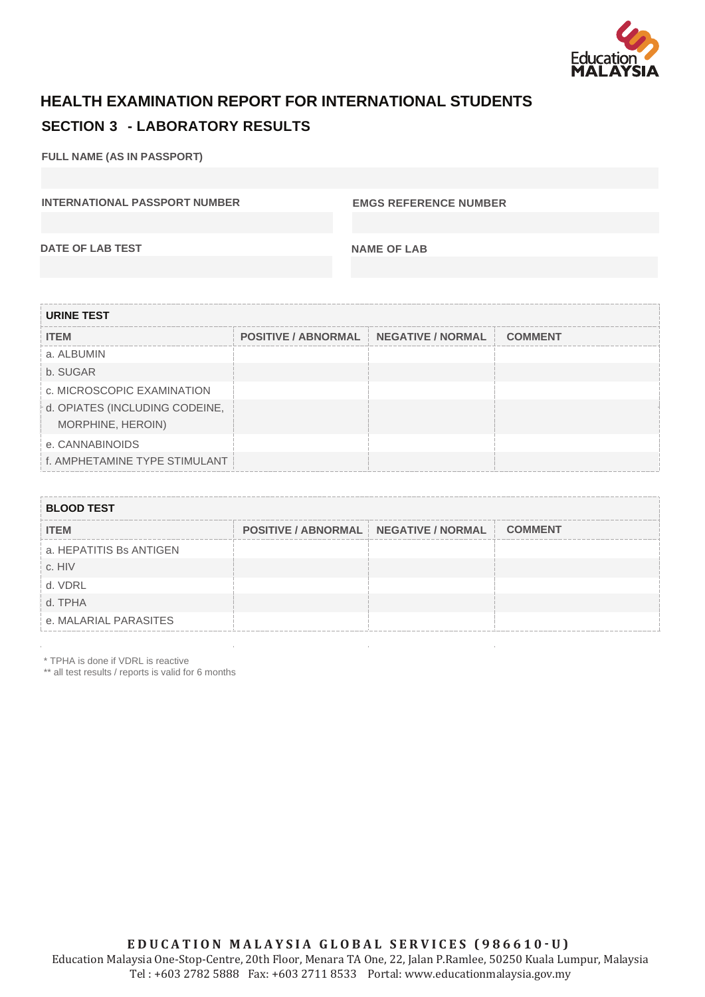

## **HEALTH EXAMINATION REPORT FOR INTERNATIONAL STUDENTS SECTION 3 - LABORATORY RESULTS**

**FULL NAME (AS IN PASSPORT)**

**INTERNATIONAL PASSPORT NUMBER EMGS REFERENCE NUMBER** 

**DATE OF LAB TEST NAME OF LAB** 

| <b>URINE TEST</b>              |                                                   |  |  |  |  |  |  |  |
|--------------------------------|---------------------------------------------------|--|--|--|--|--|--|--|
| <b>ITEM</b>                    | POSITIVE / ABNORMAL   NEGATIVE / NORMAL   COMMENT |  |  |  |  |  |  |  |
| a. ALBUMIN                     |                                                   |  |  |  |  |  |  |  |
| b. SUGAR                       |                                                   |  |  |  |  |  |  |  |
| c. MICROSCOPIC EXAMINATION     |                                                   |  |  |  |  |  |  |  |
| d. OPIATES (INCLUDING CODEINE, |                                                   |  |  |  |  |  |  |  |
| MORPHINE, HEROIN)              |                                                   |  |  |  |  |  |  |  |
| e. CANNABINOIDS                |                                                   |  |  |  |  |  |  |  |
| f. AMPHETAMINE TYPE STIMULANT  |                                                   |  |  |  |  |  |  |  |

| <b>BLOOD TEST</b>       |                                               |  |  |  |  |  |  |  |
|-------------------------|-----------------------------------------------|--|--|--|--|--|--|--|
| <b>ITEM</b>             | POSITIVE / ABNORMAL NEGATIVE / NORMAL COMMENT |  |  |  |  |  |  |  |
| a. HEPATITIS Bs ANTIGEN |                                               |  |  |  |  |  |  |  |
| c. HIV                  |                                               |  |  |  |  |  |  |  |
| d. VDRL                 |                                               |  |  |  |  |  |  |  |
| d. TPHA                 |                                               |  |  |  |  |  |  |  |
| e. MALARIAL PARASITES   |                                               |  |  |  |  |  |  |  |

\* TPHA is done if VDRL is reactive

\*\* all test results / reports is valid for 6 months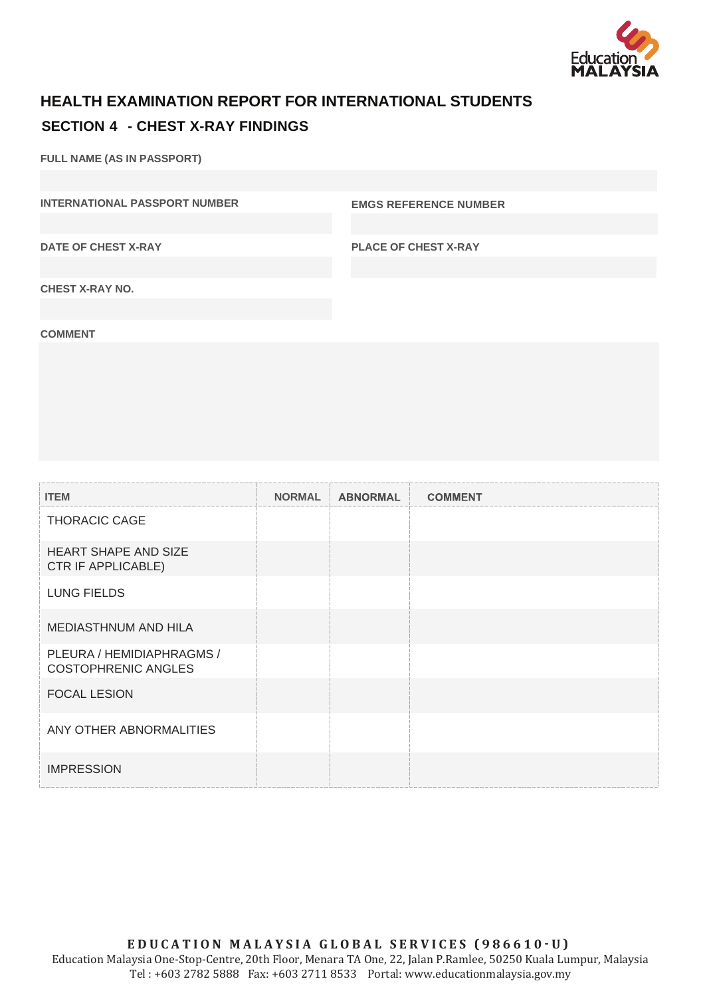

## **HEALTH EXAMINATION REPORT FOR INTERNATIONAL STUDENTS SECTION 4 - CHEST X-RAY FINDINGS**

**FULL NAME (AS IN PASSPORT)**

**INTERNATIONAL PASSPORT NUMBER EMGS REFERENCE NUMBER** 

**DATE OF CHEST X-RAY**

**PLACE OF CHEST X-RAY**

**CHEST X-RAY NO.**

**COMMENT**

| <b>ITEM</b>                                             | <b>NORMAL</b> | <b>ABNORMAL</b> | <b>COMMENT</b> |
|---------------------------------------------------------|---------------|-----------------|----------------|
| <b>THORACIC CAGE</b>                                    |               |                 |                |
| <b>HEART SHAPE AND SIZE</b><br>CTR IF APPLICABLE)       |               |                 |                |
| <b>LUNG FIELDS</b>                                      |               |                 |                |
| <b>MEDIASTHNUM AND HILA</b>                             |               |                 |                |
| PLEURA / HEMIDIAPHRAGMS /<br><b>COSTOPHRENIC ANGLES</b> |               |                 |                |
| <b>FOCAL LESION</b>                                     |               |                 |                |
| ANY OTHER ABNORMALITIES                                 |               |                 |                |
| <b>IMPRESSION</b>                                       |               |                 |                |